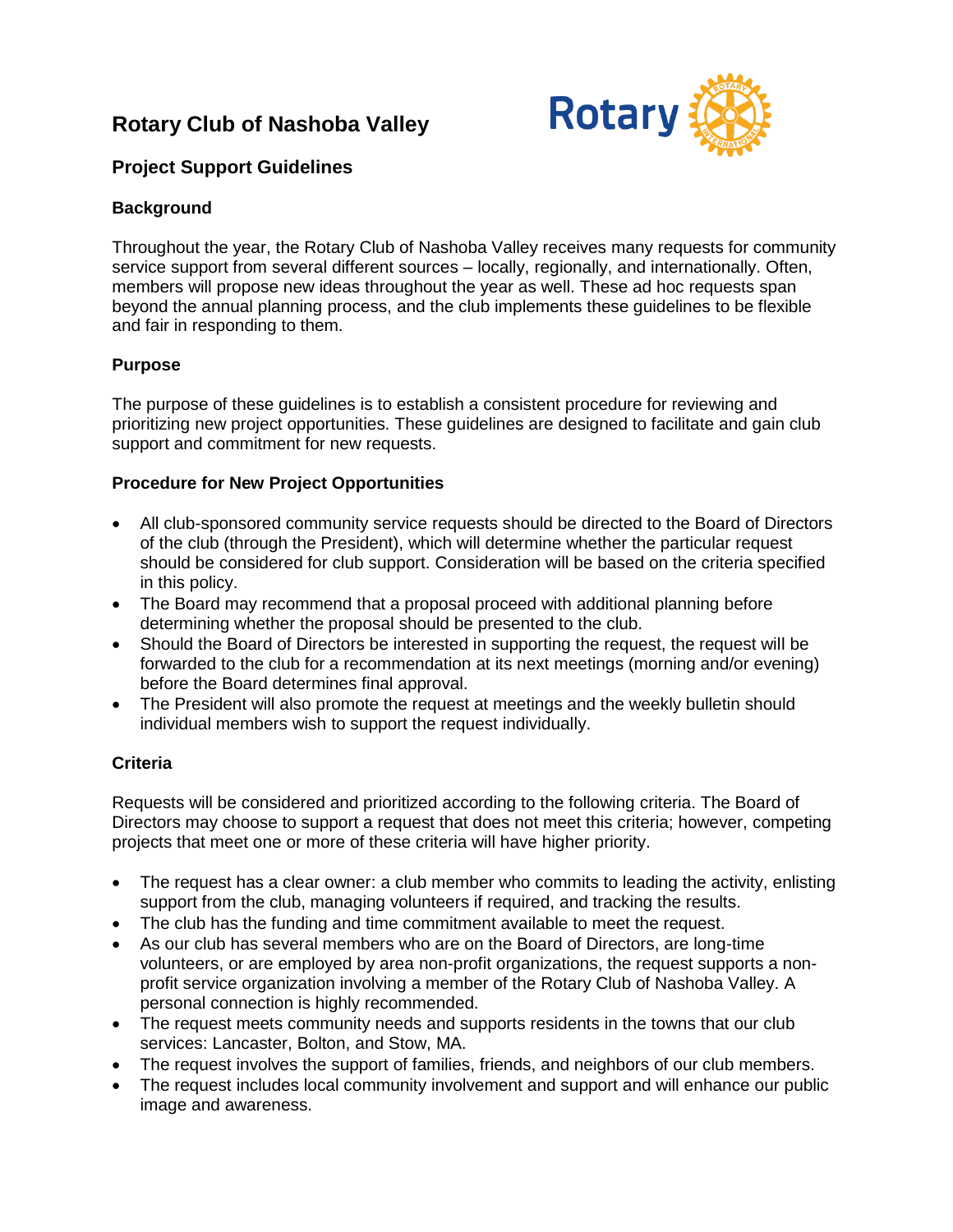# **Rotary Club of Nashoba Valley**



# **Project Support Guidelines**

#### **Background**

Throughout the year, the Rotary Club of Nashoba Valley receives many requests for community service support from several different sources – locally, regionally, and internationally. Often, members will propose new ideas throughout the year as well. These ad hoc requests span beyond the annual planning process, and the club implements these guidelines to be flexible and fair in responding to them.

## **Purpose**

The purpose of these guidelines is to establish a consistent procedure for reviewing and prioritizing new project opportunities. These guidelines are designed to facilitate and gain club support and commitment for new requests.

## **Procedure for New Project Opportunities**

- All club-sponsored community service requests should be directed to the Board of Directors of the club (through the President), which will determine whether the particular request should be considered for club support. Consideration will be based on the criteria specified in this policy.
- The Board may recommend that a proposal proceed with additional planning before determining whether the proposal should be presented to the club.
- Should the Board of Directors be interested in supporting the request, the request will be forwarded to the club for a recommendation at its next meetings (morning and/or evening) before the Board determines final approval.
- The President will also promote the request at meetings and the weekly bulletin should individual members wish to support the request individually.

## **Criteria**

Requests will be considered and prioritized according to the following criteria. The Board of Directors may choose to support a request that does not meet this criteria; however, competing projects that meet one or more of these criteria will have higher priority.

- The request has a clear owner: a club member who commits to leading the activity, enlisting support from the club, managing volunteers if required, and tracking the results.
- The club has the funding and time commitment available to meet the request.
- As our club has several members who are on the Board of Directors, are long-time volunteers, or are employed by area non-profit organizations, the request supports a nonprofit service organization involving a member of the Rotary Club of Nashoba Valley. A personal connection is highly recommended.
- The request meets community needs and supports residents in the towns that our club services: Lancaster, Bolton, and Stow, MA.
- The request involves the support of families, friends, and neighbors of our club members.
- The request includes local community involvement and support and will enhance our public image and awareness.